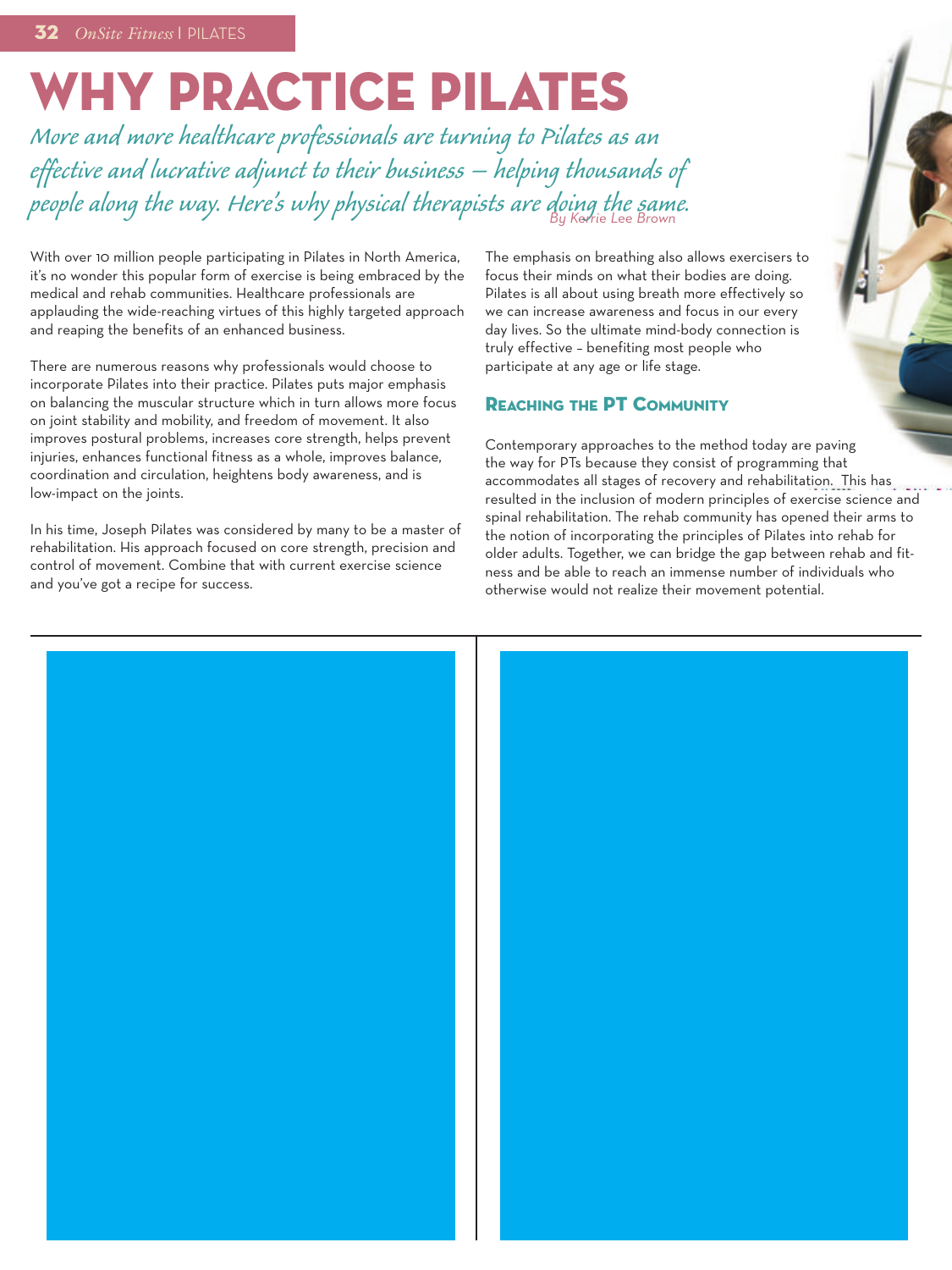# **WHY PRACTICE PILATES**

*More and morehealthcare professionals are turning to Pilates as an effective andlucrative adjunct to their business – helping thousands of people along the way. Here's why physical therapists aredoing the same. By Kerrie Lee Brown*

With over 10 million people participating in Pilates in North America, it's no wonder this popular form of exercise is being embraced by the medical and rehab communities. Healthcare professionals are applauding the wide-reaching virtues of this highly targeted approach and reaping the benefits of an enhanced business.

There are numerous reasons why professionals would choose to incorporate Pilates into their practice. Pilates puts major emphasis on balancing the muscular structure which in turn allows more focus on joint stability and mobility, and freedom of movement. It also improves postural problems, increases core strength, helps prevent injuries, enhances functional fitness as a whole, improves balance, coordination and circulation, heightens body awareness, and is low-impact on the joints.

In his time, Joseph Pilates was considered by many to be a master of rehabilitation. His approach focused on core strength, precision and control of movement. Combine that with current exercise science and you've got a recipe for success.

The emphasis on breathing also allows exercisers to focus their minds on what their bodies are doing. Pilates is all about using breath more effectively so we can increase awareness and focus in our every day lives. So the ultimate mind-body connection is truly effective – benefiting most people who participate at any age or life stage.

#### **REACHING THE PT COMMUNITY**

Contemporary approaches to the method today are paving the way for PTs because they consist of programming that accommodates all stages of recovery and rehabilitation. This has resulted in the inclusion of modern principles of exercise science and spinal rehabilitation. The rehab community has opened their arms to the notion of incorporating the principles of Pilates into rehab for older adults. Together, we can bridge the gap between rehab and fitness and be able to reach an immense number of individuals who otherwise would not realize their movement potential.

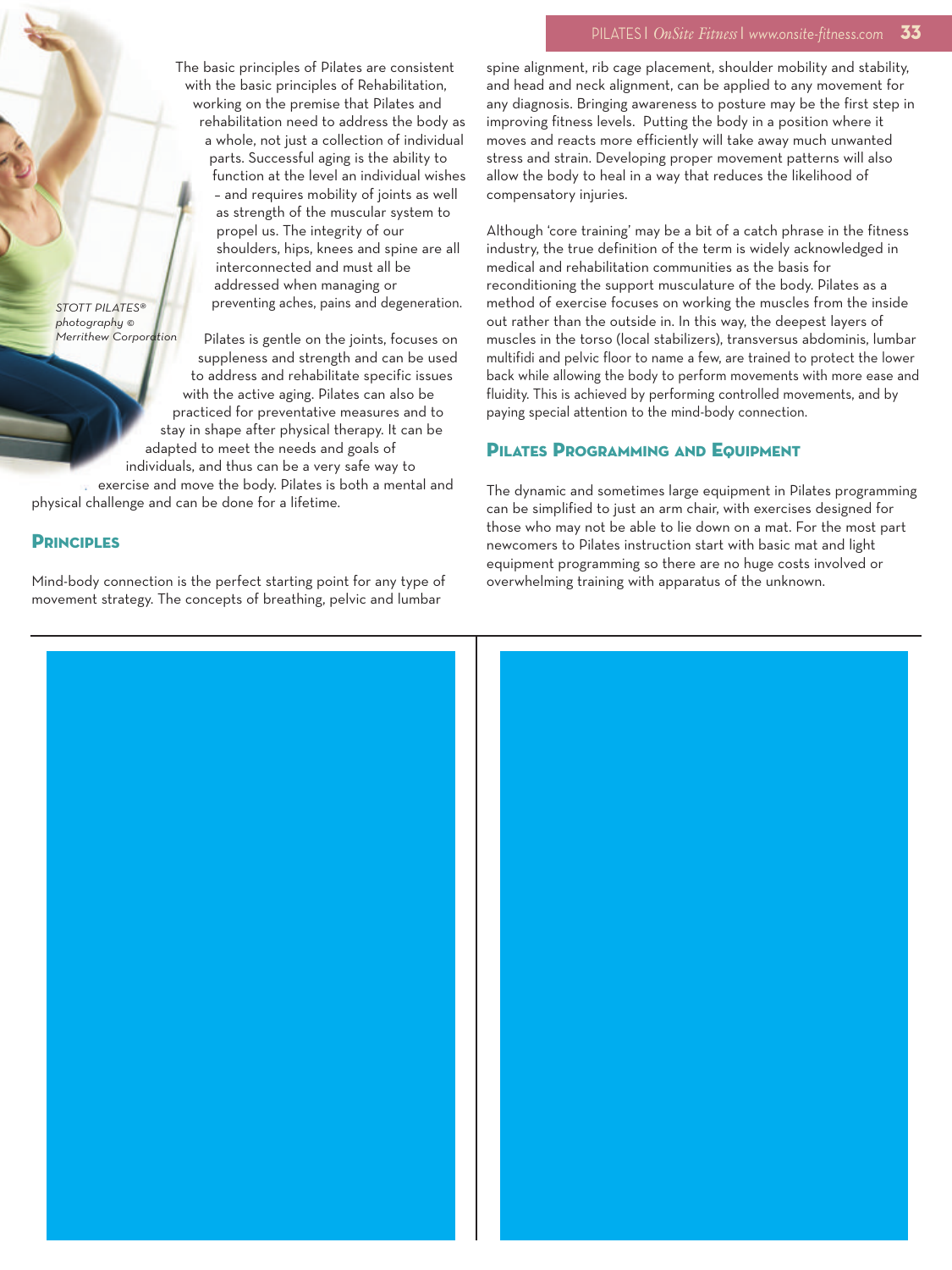#### PILATES <sup>|</sup> *OnSite Fitness* <sup>|</sup> *www.onsite-fitness.com* **33**

The basic principles of Pilates are consistent with the basic principles of Rehabilitation, working on the premise that Pilates and rehabilitation need to address the body as a whole, not just a collection of individual parts. Successful aging is the ability to function at the level an individual wishes – and requires mobility of joints as well as strength of the muscular system to propel us. The integrity of our shoulders, hips, knees and spine are all interconnected and must all be addressed when managing or preventing aches, pains and degeneration.

*STOTT PILATES® photography © Merrithew Corporation*

Pilates is gentle on the joints, focuses on suppleness and strength and can be used to address and rehabilitate specific issues with the active aging. Pilates can also be practiced for preventative measures and to stay in shape after physical therapy. It can be adapted to meet the needs and goals of individuals, and thus can be a very safe way to

exercise and move the body. Pilates is both a mental and physical challenge and can be done for a lifetime.

#### **PRINCIPLES**

Mind-body connection is the perfect starting point for any type of movement strategy. The concepts of breathing, pelvic and lumbar

spine alignment, rib cage placement, shoulder mobility and stability, and head and neck alignment, can be applied to any movement for any diagnosis. Bringing awareness to posture may be the first step in improving fitness levels. Putting the body in a position where it moves and reacts more efficiently will take away much unwanted stress and strain. Developing proper movement patterns will also allow the body to heal in a way that reduces the likelihood of compensatory injuries.

Although 'core training' may be a bit of a catch phrase in the fitness industry, the true definition of the term is widely acknowledged in medical and rehabilitation communities as the basis for reconditioning the support musculature of the body. Pilates as a method of exercise focuses on working the muscles from the inside out rather than the outside in. In this way, the deepest layers of muscles in the torso (local stabilizers), transversus abdominis, lumbar multifidi and pelvic floor to name a few, are trained to protect the lower back while allowing the body to perform movements with more ease and fluidity. This is achieved by performing controlled movements, and by paying special attention to the mind-body connection.

### **PILATES PROGRAMMING AND EQUIPMENT**

The dynamic and sometimes large equipment in Pilates programming can be simplified to just an arm chair, with exercises designed for those who may not be able to lie down on a mat. For the most part newcomers to Pilates instruction start with basic mat and light equipment programming so there are no huge costs involved or overwhelming training with apparatus of the unknown.